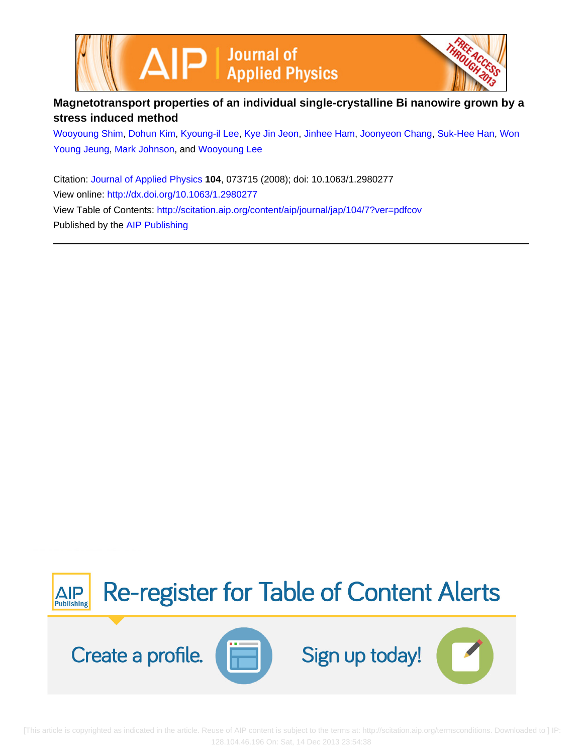



## **Magnetotransport properties of an individual single-crystalline Bi nanowire grown by a stress induced method**

[Wooyoung Shim](http://scitation.aip.org/search?value1=Wooyoung+Shim&option1=author), [Dohun Kim](http://scitation.aip.org/search?value1=Dohun+Kim&option1=author), [Kyoung-il Lee](http://scitation.aip.org/search?value1=Kyoung-il+Lee&option1=author), [Kye Jin Jeon,](http://scitation.aip.org/search?value1=Kye+Jin+Jeon&option1=author) [Jinhee Ham,](http://scitation.aip.org/search?value1=Jinhee+Ham&option1=author) [Joonyeon Chang,](http://scitation.aip.org/search?value1=Joonyeon+Chang&option1=author) [Suk-Hee Han,](http://scitation.aip.org/search?value1=Suk-Hee+Han&option1=author) [Won](http://scitation.aip.org/search?value1=Won+Young+Jeung&option1=author) [Young Jeung,](http://scitation.aip.org/search?value1=Won+Young+Jeung&option1=author) [Mark Johnson](http://scitation.aip.org/search?value1=Mark+Johnson&option1=author), and [Wooyoung Lee](http://scitation.aip.org/search?value1=Wooyoung+Lee&option1=author)

Citation: [Journal of Applied Physics](http://scitation.aip.org/content/aip/journal/jap?ver=pdfcov) **104**, 073715 (2008); doi: 10.1063/1.2980277 View online: <http://dx.doi.org/10.1063/1.2980277> View Table of Contents: <http://scitation.aip.org/content/aip/journal/jap/104/7?ver=pdfcov> Published by the [AIP Publishing](http://scitation.aip.org/content/aip?ver=pdfcov)



 [This article is copyrighted as indicated in the article. Reuse of AIP content is subject to the terms at: http://scitation.aip.org/termsconditions. Downloaded to ] IP: 128.104.46.196 On: Sat, 14 Dec 2013 23:54:38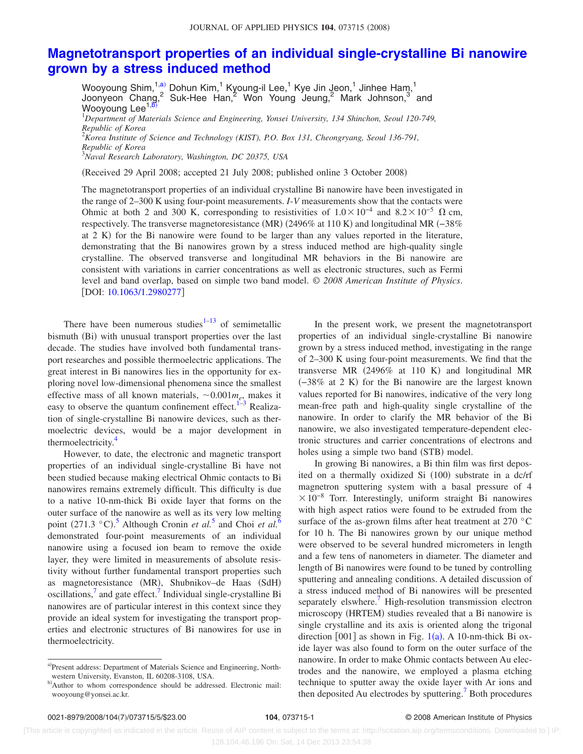## **[Magnetotransport properties of an individual single-crystalline Bi nanowire](http://dx.doi.org/10.1063/1.2980277) [grown by a stress induced method](http://dx.doi.org/10.1063/1.2980277)**

Wooyoung Shim, $^{1, \text{a)}}$  Dohun Kim, $^{1}$  Kyoung-il Lee, $^{1}$  Kye Jin Jeon, $^{1}$  Jinhee Ham, $^{1}$ Joonyeon Chang,<sup>2</sup> Suk-Hee Han,<sup>2</sup> Won Young Jeung,<sup>2</sup> Mark Johnson,<sup>3</sup> and Wooyoung Lee<sup>1[,b](#page-1-1))</sup> 1 *Department of Materials Science and Engineering, Yonsei University, 134 Shinchon, Seoul 120-749, Republic of Korea* 2 *Korea Institute of Science and Technology (KIST), P.O. Box 131, Cheongryang, Seoul 136-791,*

*Republic of Korea* 3 *Naval Research Laboratory, Washington, DC 20375, USA*

Received 29 April 2008; accepted 21 July 2008; published online 3 October 2008-

The magnetotransport properties of an individual crystalline Bi nanowire have been investigated in the range of 2–300 K using four-point measurements. *I*-*V* measurements show that the contacts were Ohmic at both 2 and 300 K, corresponding to resistivities of  $1.0 \times 10^{-4}$  and  $8.2 \times 10^{-5}$   $\Omega$  cm, respectively. The transverse magnetoresistance (MR) (2496% at 110 K) and longitudinal MR (−38% at 2 K) for the Bi nanowire were found to be larger than any values reported in the literature, demonstrating that the Bi nanowires grown by a stress induced method are high-quality single crystalline. The observed transverse and longitudinal MR behaviors in the Bi nanowire are consistent with variations in carrier concentrations as well as electronic structures, such as Fermi level and band overlap, based on simple two band model. © *2008 American Institute of Physics*. [DOI: [10.1063/1.2980277](http://dx.doi.org/10.1063/1.2980277)]

There have been numerous studies $1-13$  $1-13$  of semimetallic bismuth (Bi) with unusual transport properties over the last decade. The studies have involved both fundamental transport researches and possible thermoelectric applications. The great interest in Bi nanowires lies in the opportunity for exploring novel low-dimensional phenomena since the smallest effective mass of all known materials,  $\sim 0.001 m_e$ , makes it easy to observe the quantum confinement effect.<sup>1[–3](#page-4-1)</sup> Realization of single-crystalline Bi nanowire devices, such as thermoelectric devices, would be a major development in thermoelectricity.<sup>4</sup>

However, to date, the electronic and magnetic transport properties of an individual single-crystalline Bi have not been studied because making electrical Ohmic contacts to Bi nanowires remains extremely difficult. This difficulty is due to a native 10-nm-thick Bi oxide layer that forms on the outer surface of the nanowire as well as its very low melting point (271.3 °C).<sup>[5](#page-4-3)</sup> Although Cronin *et al.*<sup>5</sup> and Choi *et al.*<sup>[6](#page-4-4)</sup> demonstrated four-point measurements of an individual nanowire using a focused ion beam to remove the oxide layer, they were limited in measurements of absolute resistivity without further fundamental transport properties such as magnetoresistance (MR), Shubnikov-de Haas (SdH) oscillations,<sup> $\prime$ </sup> and gate effect.<sup> $\prime$ </sup> Individual single-crystalline Bi nanowires are of particular interest in this context since they provide an ideal system for investigating the transport properties and electronic structures of Bi nanowires for use in thermoelectricity.

In the present work, we present the magnetotransport properties of an individual single-crystalline Bi nanowire grown by a stress induced method, investigating in the range of 2–300 K using four-point measurements. We find that the transverse MR  $(2496\%$  at 110 K) and longitudinal MR (-38% at 2 K) for the Bi nanowire are the largest known values reported for Bi nanowires, indicative of the very long mean-free path and high-quality single crystalline of the nanowire. In order to clarify the MR behavior of the Bi nanowire, we also investigated temperature-dependent electronic structures and carrier concentrations of electrons and holes using a simple two band (STB) model.

In growing Bi nanowires, a Bi thin film was first deposited on a thermally oxidized Si (100) substrate in a dc/rf magnetron sputtering system with a basal pressure of 4  $\times 10^{-8}$  Torr. Interestingly, uniform straight Bi nanowires with high aspect ratios were found to be extruded from the surface of the as-grown films after heat treatment at 270 °C for 10 h. The Bi nanowires grown by our unique method were observed to be several hundred micrometers in length and a few tens of nanometers in diameter. The diameter and length of Bi nanowires were found to be tuned by controlling sputtering and annealing conditions. A detailed discussion of a stress induced method of Bi nanowires will be presented separately elswhere.<sup>7</sup> High-resolution transmission electron microscopy (HRTEM) studies revealed that a Bi nanowire is single crystalline and its axis is oriented along the trigonal direction  $[001]$  $[001]$  $[001]$  as shown in Fig. 1(a). A 10-nm-thick Bi oxide layer was also found to form on the outer surface of the nanowire. In order to make Ohmic contacts between Au electrodes and the nanowire, we employed a plasma etching technique to sputter away the oxide layer with Ar ions and then deposited Au electrodes by sputtering.<sup>7</sup> Both procedures

<span id="page-1-0"></span>a)Present address: Department of Materials Science and Engineering, Northwestern University, Evanston, IL 60208-3108, USA.

<span id="page-1-1"></span>b)Author to whom correspondence should be addressed. Electronic mail: wooyoung@yonsei.ac.kr.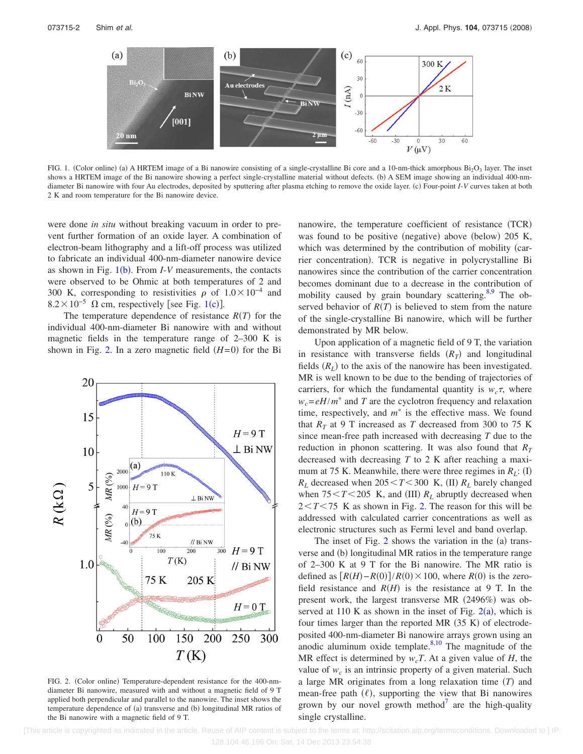<span id="page-2-0"></span>

FIG. 1. (Color online) (a) A HRTEM image of a Bi nanowire consisting of a single-crystalline Bi core and a 10-nm-thick amorphous  $Bi_2O_3$  layer. The inset shows a HRTEM image of the Bi nanowire showing a perfect single-crystalline material without defects. (b) A SEM image showing an individual 400-nmdiameter Bi nanowire with four Au electrodes, deposited by sputtering after plasma etching to remove the oxide layer. (c) Four-point *I-V* curves taken at both 2 K and room temperature for the Bi nanowire device.

were done *in situ* without breaking vacuum in order to prevent further formation of an oxide layer. A combination of electron-beam lithography and a lift-off process was utilized to fabricate an individual 400-nm-diameter nanowire device as shown in Fig.  $1(b)$  $1(b)$ . From *I-V* measurements, the contacts were observed to be Ohmic at both temperatures of 2 and 300 K, corresponding to resistivities  $\rho$  of  $1.0 \times 10^{-4}$  and  $8.2 \times 10^{-5}$  $8.2 \times 10^{-5}$  $8.2 \times 10^{-5}$  Ω cm, respectively [see Fig. 1(c)].

The temperature dependence of resistance  $R(T)$  for the individual 400-nm-diameter Bi nanowire with and without magnetic fields in the temperature range of 2–300 K is shown in Fig. [2.](#page-2-1) In a zero magnetic field  $(H=0)$  for the Bi

<span id="page-2-1"></span>

FIG. 2. (Color online) Temperature-dependent resistance for the 400-nmdiameter Bi nanowire, measured with and without a magnetic field of 9 T applied both perpendicular and parallel to the nanowire. The inset shows the temperature dependence of (a) transverse and (b) longitudinal MR ratios of the Bi nanowire with a magnetic field of 9 T.

nanowire, the temperature coefficient of resistance (TCR) was found to be positive (negative) above (below) 205 K, which was determined by the contribution of mobility (carrier concentration). TCR is negative in polycrystalline Bi nanowires since the contribution of the carrier concentration becomes dominant due to a decrease in the contribution of mobility caused by grain boundary scattering.<sup>8[,9](#page-5-3)</sup> The observed behavior of  $R(T)$  is believed to stem from the nature of the single-crystalline Bi nanowire, which will be further demonstrated by MR below.

Upon application of a magnetic field of 9 T, the variation in resistance with transverse fields  $(R_T)$  and longitudinal fields  $(R_L)$  to the axis of the nanowire has been investigated. MR is well known to be due to the bending of trajectories of carriers, for which the fundamental quantity is  $w_c \tau$ , where  $w_c = eH/m^*$  and *T* are the cyclotron frequency and relaxation time, respectively, and  $m^*$  is the effective mass. We found that  $R_T$  at 9 T increased as *T* decreased from 300 to 75 K since mean-free path increased with decreasing *T* due to the reduction in phonon scattering. It was also found that  $R_T$ decreased with decreasing *T* to 2 K after reaching a maximum at 75 K. Meanwhile, there were three regimes in  $R_L$ : (I)  $R_L$  decreased when  $205 \le T \le 300$  K, (II)  $R_L$  barely changed when  $75 < T < 205$  K, and (III)  $R_L$  abruptly decreased when  $2 < T < 75$  K as shown in Fig. [2.](#page-2-1) The reason for this will be addressed with calculated carrier concentrations as well as electronic structures such as Fermi level and band overlap.

The inset of Fig.  $2$  shows the variation in the  $(a)$  transverse and (b) longitudinal MR ratios in the temperature range of 2–300 K at 9 T for the Bi nanowire. The MR ratio is defined as  $[R(H) - R(0)]/R(0) \times 100$ , where  $R(0)$  is the zerofield resistance and  $R(H)$  is the resistance at 9 T. In the present work, the largest transverse MR (2496%) was observed at 110 K as shown in the inset of Fig.  $2(a)$  $2(a)$ , which is four times larger than the reported MR  $(35 K)$  of electrodeposited 400-nm-diameter Bi nanowire arrays grown using an anodic aluminum oxide template. $8,10$  $8,10$  The magnitude of the MR effect is determined by  $w_cT$ . At a given value of *H*, the value of  $w_c$  is an intrinsic property of a given material. Such a large MR originates from a long relaxation time  $(T)$  and mean-free path  $(\ell)$ , supporting the view that Bi nanowires grown by our novel growth method<sup> $\prime$ </sup> are the high-quality single crystalline.

 [This article is copyrighted as indicated in the article. Reuse of AIP content is subject to the terms at: http://scitation.aip.org/termsconditions. Downloaded to ] IP: 128.104.46.196 On: Sat, 14 Dec 2013 23:54:38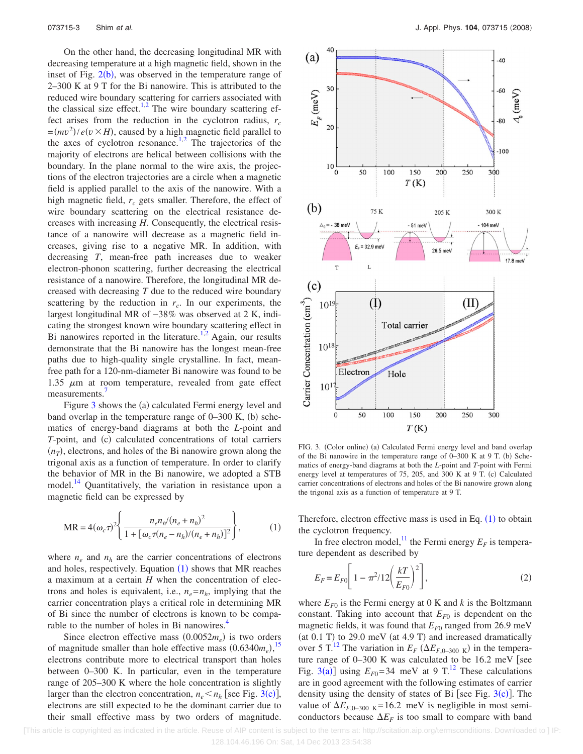On the other hand, the decreasing longitudinal MR with decreasing temperature at a high magnetic field, shown in the inset of Fig.  $2(b)$  $2(b)$ , was observed in the temperature range of 2–300 K at 9 T for the Bi nanowire. This is attributed to the reduced wire boundary scattering for carriers associated with the classical size effect.<sup>1[,2](#page-4-5)</sup> The wire boundary scattering effect arises from the reduction in the cyclotron radius,  $r_c$  $=(mv^2)/e(v \times H)$ , caused by a high magnetic field parallel to the axes of cyclotron resonance.<sup>1,[2](#page-4-5)</sup> The trajectories of the majority of electrons are helical between collisions with the boundary. In the plane normal to the wire axis, the projections of the electron trajectories are a circle when a magnetic field is applied parallel to the axis of the nanowire. With a high magnetic field,  $r_c$  gets smaller. Therefore, the effect of wire boundary scattering on the electrical resistance decreases with increasing *H*. Consequently, the electrical resistance of a nanowire will decrease as a magnetic field increases, giving rise to a negative MR. In addition, with decreasing *T*, mean-free path increases due to weaker electron-phonon scattering, further decreasing the electrical resistance of a nanowire. Therefore, the longitudinal MR decreased with decreasing *T* due to the reduced wire boundary scattering by the reduction in  $r_c$ . In our experiments, the largest longitudinal MR of −38*%* was observed at 2 K, indicating the strongest known wire boundary scattering effect in Bi nanowires reported in the literature.<sup>1,[2](#page-4-5)</sup> Again, our results demonstrate that the Bi nanowire has the longest mean-free paths due to high-quality single crystalline. In fact, meanfree path for a 120-nm-diameter Bi nanowire was found to be 1.35  $\mu$ m at room temperature, revealed from gate effect measurements.<sup>1</sup>

Figure [3](#page-3-0) shows the (a) calculated Fermi energy level and band overlap in the temperature range of  $0-300$  K, (b) schematics of energy-band diagrams at both the *L*-point and *T*-point, and (c) calculated concentrations of total carriers  $(n_T)$ , electrons, and holes of the Bi nanowire grown along the trigonal axis as a function of temperature. In order to clarify the behavior of MR in the Bi nanowire, we adopted a STB model.<sup>14</sup> Quantitatively, the variation in resistance upon a magnetic field can be expressed by

<span id="page-3-1"></span>
$$
MR = 4(\omega_c \tau)^2 \left\{ \frac{n_e n_h / (n_e + n_h)^2}{1 + [\omega_c \tau (n_e - n_h) / (n_e + n_h)]^2} \right\},
$$
 (1)

where  $n_e$  and  $n_h$  are the carrier concentrations of electrons and holes, respectively. Equation  $(1)$  $(1)$  $(1)$  shows that MR reaches a maximum at a certain *H* when the concentration of electrons and holes is equivalent, i.e.,  $n_e = n_h$ , implying that the carrier concentration plays a critical role in determining MR of Bi since the number of electrons is known to be comparable to the number of holes in Bi nanowires.<sup>4</sup>

Since electron effective mass  $(0.0052m_e)$  is two orders of magnitude smaller than hole effective mass  $(0.6340m_e)$ ,<sup>[15](#page-5-6)</sup> electrons contribute more to electrical transport than holes between 0–300 K. In particular, even in the temperature range of 205–300 K where the hole concentration is slightly larger than the electron concentration,  $n_e < n_h$  [see Fig. [3](#page-3-0)(c)], electrons are still expected to be the dominant carrier due to their small effective mass by two orders of magnitude.

<span id="page-3-0"></span>

FIG. 3. (Color online) (a) Calculated Fermi energy level and band overlap of the Bi nanowire in the temperature range of  $0-300$  K at 9 T. (b) Schematics of energy-band diagrams at both the *L*-point and *T*-point with Fermi energy level at temperatures of 75, 205, and 300 K at 9 T. (c) Calculated carrier concentrations of electrons and holes of the Bi nanowire grown along the trigonal axis as a function of temperature at 9 T.

Therefore, electron effective mass is used in Eq.  $(1)$  $(1)$  $(1)$  to obtain the cyclotron frequency.

In free electron model,<sup>11</sup> the Fermi energy  $E_F$  is temperature dependent as described by

$$
E_F = E_{F0} \left[ 1 - \pi^2 / 12 \left( \frac{kT}{E_{F0}} \right)^2 \right],
$$
 (2)

where  $E_{F0}$  is the Fermi energy at 0 K and *k* is the Boltzmann constant. Taking into account that  $E_{F0}$  is dependent on the magnetic fields, it was found that  $E_{F0}$  ranged from 26.9 meV (at  $0.1$  T) to 29.0 meV (at  $4.9$  T) and increased dramatically over 5 T.<sup>[12](#page-5-8)</sup> The variation in  $E_F$  ( $\Delta E_{F,0-300}$  <sub>K</sub>) in the temperature range of  $0-300$  K was calculated to be 16.2 meV [see Fig. [3](#page-3-0)(a)] using  $E_{F0}$ =34 meV at 9 T.<sup>12</sup> These calculations are in good agreement with the following estimates of carrier density using the density of states of Bi [see Fig.  $3(c)$  $3(c)$ ]. The value of  $\Delta E_{F,0-300~\text{K}} = 16.2~\text{meV}$  is negligible in most semiconductors because  $\Delta E_F$  is too small to compare with band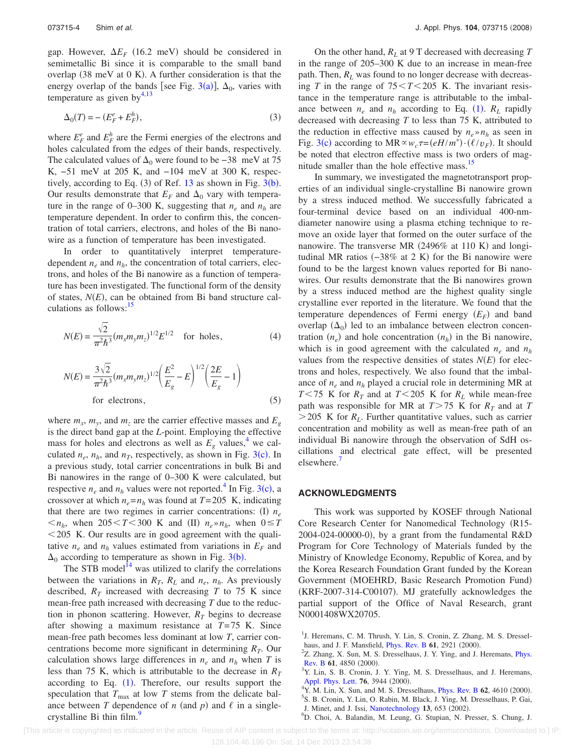gap. However,  $\Delta E_F$  (16.2 meV) should be considered in semimetallic Bi since it is comparable to the small band overlap  $(38 \text{ meV at } 0 \text{ K})$ . A further consideration is that the energy overlap of the bands [see Fig. [3](#page-3-0)(a)],  $\Delta_0$ , varies with temperature as given by $4,13$  $4,13$ 

$$
\Delta_0(T) = -\left(E_F^e + E_F^h\right),\tag{3}
$$

where  $E_F^e$  and  $E_F^h$  are the Fermi energies of the electrons and holes calculated from the edges of their bands, respectively. The calculated values of  $\Delta_0$  were found to be −38 meV at 75 K, −51 meV at 205 K, and −104 meV at 300 K, respectively, according to Eq.  $(3)$  $(3)$  $(3)$  of Ref. [13](#page-5-0) as shown in Fig.  $3(b)$ . Our results demonstrate that  $E_F$  and  $\Delta_0$  vary with temperature in the range of 0–300 K, suggesting that  $n_e$  and  $n_h$  are temperature dependent. In order to confirm this, the concentration of total carriers, electrons, and holes of the Bi nanowire as a function of temperature has been investigated.

In order to quantitatively interpret temperaturedependent  $n_e$  and  $n_h$ , the concentration of total carriers, electrons, and holes of the Bi nanowire as a function of temperature has been investigated. The functional form of the density of states,  $N(E)$ , can be obtained from Bi band structure calculations as follows: $\frac{15}{2}$ 

$$
N(E) = \frac{\sqrt{2}}{\pi^2 \hbar^3} (m_x m_y m_z)^{1/2} E^{1/2} \quad \text{for holes},
$$
 (4)

$$
N(E) = \frac{3\sqrt{2}}{\pi^2 \hbar^3} (m_x m_y m_z)^{1/2} \left(\frac{E^2}{E_g} - E\right)^{1/2} \left(\frac{2E}{E_g} - 1\right)
$$
  
for electrons, (5)

where  $m_x$ ,  $m_y$ , and  $m_z$  are the carrier effective masses and  $E_g$ is the direct band gap at the *L*-point. Employing the effective mass for holes and electrons as well as  $E_g$  values,<sup>4</sup> we calculated  $n_e$ ,  $n_h$ , and  $n_T$ , respectively, as shown in Fig. [3](#page-3-0)(c). In a previous study, total carrier concentrations in bulk Bi and Bi nanowires in the range of 0–300 K were calculated, but respective  $n_e$  and  $n_h$  values were not reported.<sup>4</sup> In Fig. [3](#page-3-0)(c), a crossover at which  $n_e = n_h$  was found at  $T = 205$  K, indicating that there are two regimes in carrier concentrations: (I)  $n_e$  $n_h$ , when 205  $\lt T \lt 300$  K and (II)  $n_e \gg n_h$ , when  $0 \leq T$  $1205$  K. Our results are in good agreement with the qualitative  $n_e$  and  $n_h$  values estimated from variations in  $E_F$  and  $\Delta_0$  according to temperature as shown in Fig. [3](#page-3-0)(b).

The STB model<sup> $14$ </sup> was utilized to clarify the correlations between the variations in  $R_T$ ,  $R_L$  and  $n_e$ ,  $n_h$ . As previously described,  $R_T$  increased with decreasing  $T$  to 75 K since mean-free path increased with decreasing *T* due to the reduction in phonon scattering. However,  $R<sub>T</sub>$  begins to decrease after showing a maximum resistance at *T*=75 K. Since mean-free path becomes less dominant at low *T*, carrier concentrations become more significant in determining  $R<sub>T</sub>$ . Our calculation shows large differences in  $n_e$  and  $n_h$  when *T* is less than 75 K, which is attributable to the decrease in  $R<sub>T</sub>$ according to Eq.  $(1)$  $(1)$  $(1)$ . Therefore, our results support the speculation that  $T_{\text{max}}$  at low  $T$  stems from the delicate balance between *T* dependence of *n* (and *p*) and  $\ell$  in a singlecrystalline Bi thin film.<sup>9</sup>

On the other hand, *RL* at 9 T decreased with decreasing *T* in the range of 205–300 K due to an increase in mean-free path. Then,  $R_L$  was found to no longer decrease with decreasing *T* in the range of  $75 < T < 205$  K. The invariant resistance in the temperature range is attributable to the imbalance between  $n_e$  and  $n_h$  according to Eq. ([1](#page-3-1)).  $R_L$  rapidly decreased with decreasing *T* to less than 75 K, attributed to the reduction in effective mass caused by  $n_e \rightarrow n_h$  as seen in Fig. [3](#page-3-0)(c) according to  $MR \propto w_c \tau = (eH/m^*) \cdot (\ell/v_F)$ . It should be noted that electron effective mass is two orders of magnitude smaller than the hole effective mass.<sup>15</sup>

In summary, we investigated the magnetotransport properties of an individual single-crystalline Bi nanowire grown by a stress induced method. We successfully fabricated a four-terminal device based on an individual 400-nmdiameter nanowire using a plasma etching technique to remove an oxide layer that formed on the outer surface of the nanowire. The transverse MR (2496% at 110 K) and longitudinal MR ratios (-38% at 2 K) for the Bi nanowire were found to be the largest known values reported for Bi nanowires. Our results demonstrate that the Bi nanowires grown by a stress induced method are the highest quality single crystalline ever reported in the literature. We found that the temperature dependences of Fermi energy  $(E_F)$  and band overlap  $(\Delta_0)$  led to an imbalance between electron concentration  $(n_e)$  and hole concentration  $(n_h)$  in the Bi nanowire, which is in good agreement with the calculated  $n_e$  and  $n_h$ values from the respective densities of states  $N(E)$  for electrons and holes, respectively. We also found that the imbalance of  $n_e$  and  $n_h$  played a crucial role in determining MR at *T*<75 K for  $R_T$  and at *T*<205 K for  $R_L$  while mean-free path was responsible for MR at  $T > 75$  K for  $R_T$  and at *T*  $>$  205 K for  $R_L$ . Further quantitative values, such as carrier concentration and mobility as well as mean-free path of an individual Bi nanowire through the observation of SdH oscillations and electrical gate effect, will be presented elsewhere.<sup>7</sup>

## **ACKNOWLEDGMENTS**

This work was supported by KOSEF through National Core Research Center for Nanomedical Technology (R15-2004-024-00000-0), by a grant from the fundamental R&D Program for Core Technology of Materials funded by the Ministry of Knowledge Economy, Republic of Korea, and by the Korea Research Foundation Grant funded by the Korean Government (MOEHRD, Basic Research Promotion Fund) (KRF-2007-314-C00107). MJ gratefully acknowledges the partial support of the Office of Naval Research, grant N0001408WX20705.

[This article is copyrighted as indicated in the article. Reuse of AIP content is subject to the terms at: http://scitation.aip.org/termsconditions. Downloaded to ] IP:

<span id="page-4-0"></span><sup>&</sup>lt;sup>1</sup>J. Heremans, C. M. Thrush, Y. Lin, S. Cronin, Z. Zhang, M. S. Dresselhaus, and J. F. Mansfield, *[Phys. Rev. B](http://dx.doi.org/10.1103/PhysRevB.61.2921)* 61, 2921 (2000).<br><sup>2</sup>Z Zhang Y Sun M. S. Drasselbaus, J. V. Ving. and J.

<span id="page-4-5"></span><sup>&</sup>lt;sup>2</sup>Z. Zhang, X. Sun, M. S. Dresselhaus, J. Y. Ying, and J. Heremans, *[Phys.](http://dx.doi.org/10.1103/PhysRevB.61.4850)* **[Rev. B](http://dx.doi.org/10.1103/PhysRevB.61.4850) 61, 4850 (2000).**<br><sup>3</sup>**V Lin**, **S P Cropin I** 

<span id="page-4-1"></span><sup>&</sup>lt;sup>3</sup>Y. Lin, S. B. Cronin, J. Y. Ying, M. S. Dresselhaus, and J. Heremans, [Appl. Phys. Lett.](http://dx.doi.org/10.1063/1.126829) **76**, 3944 (2000).

<span id="page-4-2"></span><sup>&</sup>lt;sup>4</sup>Y. M. Lin, X. Sun, and M. S. Dresselhaus, *[Phys. Rev. B](http://dx.doi.org/10.1103/PhysRevB.62.4610)* 62, 4610 (2000).

<span id="page-4-3"></span>S. B. Cronin, Y. Lin, O. Rabin, M. Black, J. Ying, M. Dresselhaus, P. Gai,

J. Minet, and J. Issi, [Nanotechnology](http://dx.doi.org/10.1088/0957-4484/13/5/322) 13, 653 (2002).

<span id="page-4-4"></span>D. Choi, A. Balandin, M. Leung, G. Stupian, N. Presser, S. Chung, J.